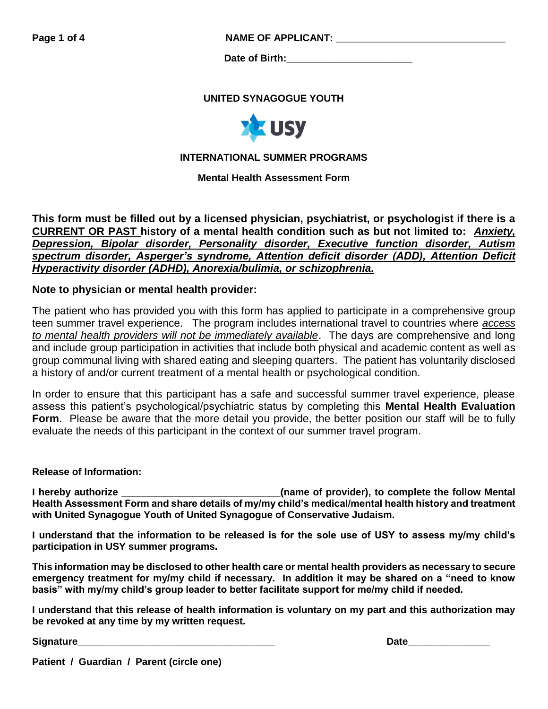**Page 1 of 4 NAME OF APPLICANT:** 

**Date of Birth:** 

## **UNITED SYNAGOGUE YOUTH**



## **INTERNATIONAL SUMMER PROGRAMS**

**Mental Health Assessment Form**

**This form must be filled out by a licensed physician, psychiatrist, or psychologist if there is a CURRENT OR PAST history of a mental health condition such as but not limited to:** *Anxiety, Depression, Bipolar disorder, Personality disorder, Executive function disorder, Autism spectrum disorder, Asperger's syndrome, Attention deficit disorder (ADD), Attention Deficit Hyperactivity disorder (ADHD), Anorexia/bulimia, or schizophrenia.*

## **Note to physician or mental health provider:**

The patient who has provided you with this form has applied to participate in a comprehensive group teen summer travel experience. The program includes international travel to countries where *access to mental health providers will not be immediately available*. The days are comprehensive and long and include group participation in activities that include both physical and academic content as well as group communal living with shared eating and sleeping quarters. The patient has voluntarily disclosed a history of and/or current treatment of a mental health or psychological condition.

In order to ensure that this participant has a safe and successful summer travel experience, please assess this patient's psychological/psychiatric status by completing this **Mental Health Evaluation Form**. Please be aware that the more detail you provide, the better position our staff will be to fully evaluate the needs of this participant in the context of our summer travel program.

#### **Release of Information:**

**I hereby authorize \_\_\_\_\_\_\_\_\_\_\_\_\_\_\_\_\_\_\_\_\_\_\_\_\_\_\_\_\_(name of provider), to complete the follow Mental Health Assessment Form and share details of my/my child's medical/mental health history and treatment with United Synagogue Youth of United Synagogue of Conservative Judaism.** 

**I understand that the information to be released is for the sole use of USY to assess my/my child's participation in USY summer programs.** 

**This information may be disclosed to other health care or mental health providers as necessary to secure emergency treatment for my/my child if necessary. In addition it may be shared on a "need to know basis" with my/my child's group leader to better facilitate support for me/my child if needed.**

**I understand that this release of health information is voluntary on my part and this authorization may be revoked at any time by my written request.** 

**Signature\_\_\_\_\_\_\_\_\_\_\_\_\_\_\_\_\_\_\_\_\_\_\_\_\_\_\_\_\_\_\_\_\_\_\_\_ Date\_\_\_\_\_\_\_\_\_\_\_\_\_\_\_**

**Patient / Guardian / Parent (circle one)**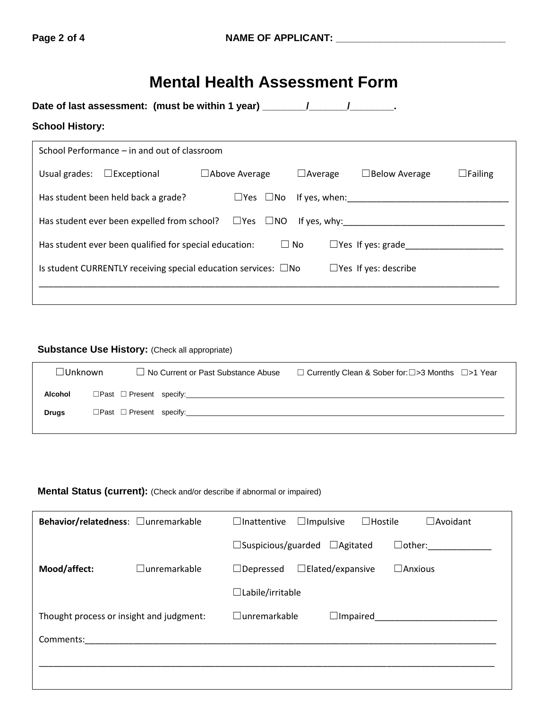# **Mental Health Assessment Form**

| Date of last assessment: (must be within 1 year) _______________________________ |                                                                                     |                      |  |  |                |  |                             |                |
|----------------------------------------------------------------------------------|-------------------------------------------------------------------------------------|----------------------|--|--|----------------|--|-----------------------------|----------------|
| <b>School History:</b>                                                           |                                                                                     |                      |  |  |                |  |                             |                |
|                                                                                  | School Performance – in and out of classroom                                        |                      |  |  |                |  |                             |                |
|                                                                                  | Usual grades: $\Box$ Exceptional                                                    | $\Box$ Above Average |  |  | $\Box$ Average |  | $\Box$ Below Average        | $\Box$ Failing |
|                                                                                  | Has student been held back a grade?                                                 |                      |  |  |                |  |                             |                |
|                                                                                  | Has student ever been expelled from school? $\square$ Yes $\square$ NO If yes, why: |                      |  |  |                |  |                             |                |
|                                                                                  | Has student ever been qualified for special education:                              |                      |  |  | $\square$ No   |  | $\Box$ Yes If yes: grade    |                |
|                                                                                  | Is student CURRENTLY receiving special education services: $\square$ No             |                      |  |  |                |  | $\Box$ Yes If yes: describe |                |
|                                                                                  |                                                                                     |                      |  |  |                |  |                             |                |

## **Substance Use History: (Check all appropriate)**

| $\Box$ Unknown |  | $\Box$ No Current or Past Substance Abuse | $\Box$ Currently Clean & Sober for: $\Box$ >3 Months $\Box$ >1 Year |
|----------------|--|-------------------------------------------|---------------------------------------------------------------------|
| Alcohol        |  | $\Box$ Past $\Box$ Present specify:       |                                                                     |
| <b>Drugs</b>   |  | $\Box$ Past $\Box$ Present specify:       |                                                                     |

## **Mental Status (current):** (Check and/or describe if abnormal or impaired)

| Behavior/relatedness: <b>Qunremarkable</b> |                     | $\Box$ Inattentive        | $\Box$ Impulsive        | $\Box$ Hostile | $\Box$ Avoidant      |
|--------------------------------------------|---------------------|---------------------------|-------------------------|----------------|----------------------|
|                                            |                     | $\Box$ Suspicious/guarded | $\Box$ Agitated         |                | $\Box$ other: $\Box$ |
| Mood/affect:                               | $\Box$ unremarkable | $\Box$ Depressed          | $\Box$ Elated/expansive |                | $\square$ Anxious    |
|                                            |                     | $\Box$ Labile/irritable   |                         |                |                      |
| Thought process or insight and judgment:   |                     | $\Box$ unremarkable       | $\Box$ Impaired         |                |                      |
| Comments:                                  |                     |                           |                         |                |                      |
|                                            |                     |                           |                         |                |                      |
|                                            |                     |                           |                         |                |                      |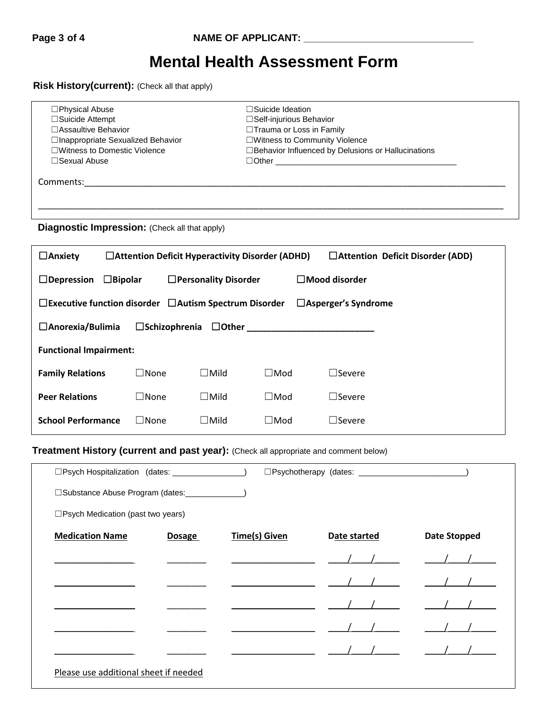# **Mental Health Assessment Form**

**Risk History(current):** (Check all that apply)

| $\Box$ Physical Abuse              | $\Box$ Suicide Ideation                              |  |
|------------------------------------|------------------------------------------------------|--|
| $\Box$ Suicide Attempt             | $\Box$ Self-injurious Behavior                       |  |
| □ Assaultive Behavior              | □ Trauma or Loss in Family                           |  |
| □Inappropriate Sexualized Behavior | □Witness to Community Violence                       |  |
| □Witness to Domestic Violence      | □ Behavior Influenced by Delusions or Hallucinations |  |
| $\Box$ Sexual Abuse                |                                                      |  |
|                                    |                                                      |  |
| Comments:                          |                                                      |  |
|                                    |                                                      |  |
|                                    |                                                      |  |
|                                    |                                                      |  |

**Diagnostic Impression:** (Check all that apply)

| $\Box$ Anxiety<br>$\Box$ Attention Deficit Hyperactivity Disorder (ADHD)<br>$\Box$ Attention Deficit Disorder (ADD) |                         |                             |            |                         |  |  |
|---------------------------------------------------------------------------------------------------------------------|-------------------------|-----------------------------|------------|-------------------------|--|--|
| $\Box$ Bipolar<br>$\Box$ Depression                                                                                 |                         | $\Box$ Personality Disorder |            | $\square$ Mood disorder |  |  |
| $\Box$ Executive function disorder $\Box$ Autism Spectrum Disorder<br>$\Box$ Asperger's Syndrome                    |                         |                             |            |                         |  |  |
| $\Box$ Anorexia/Bulimia                                                                                             | $\square$ Schizophrenia | $\Box$ Other                |            |                         |  |  |
| <b>Functional Impairment:</b>                                                                                       |                         |                             |            |                         |  |  |
| <b>Family Relations</b>                                                                                             | $\Box$ None             | $\Box$ Mild                 | $\Box$ Mod | $\Box$ Severe           |  |  |
| <b>Peer Relations</b>                                                                                               | $\Box$ None             | $\Box$ Mild                 | $\Box$ Mod | $\sqsupset$ Severe      |  |  |
| <b>School Performance</b>                                                                                           | $\lrcorner$ None        | $\Box$ Mild                 | $\Box$ Mod | $\Box$ Severe           |  |  |

**Treatment History (current and past year):** (Check all appropriate and comment below)

| □Psych Hospitalization (dates: _________________) |               |                      |              |                     |
|---------------------------------------------------|---------------|----------------------|--------------|---------------------|
| □Substance Abuse Program (dates: ______________)  |               |                      |              |                     |
| □Psych Medication (past two years)                |               |                      |              |                     |
| <b>Medication Name</b>                            | <b>Dosage</b> | <b>Time(s) Given</b> | Date started | <b>Date Stopped</b> |
|                                                   |               |                      |              |                     |
|                                                   |               |                      |              |                     |
|                                                   |               |                      |              |                     |
|                                                   |               |                      |              |                     |
|                                                   |               |                      |              |                     |